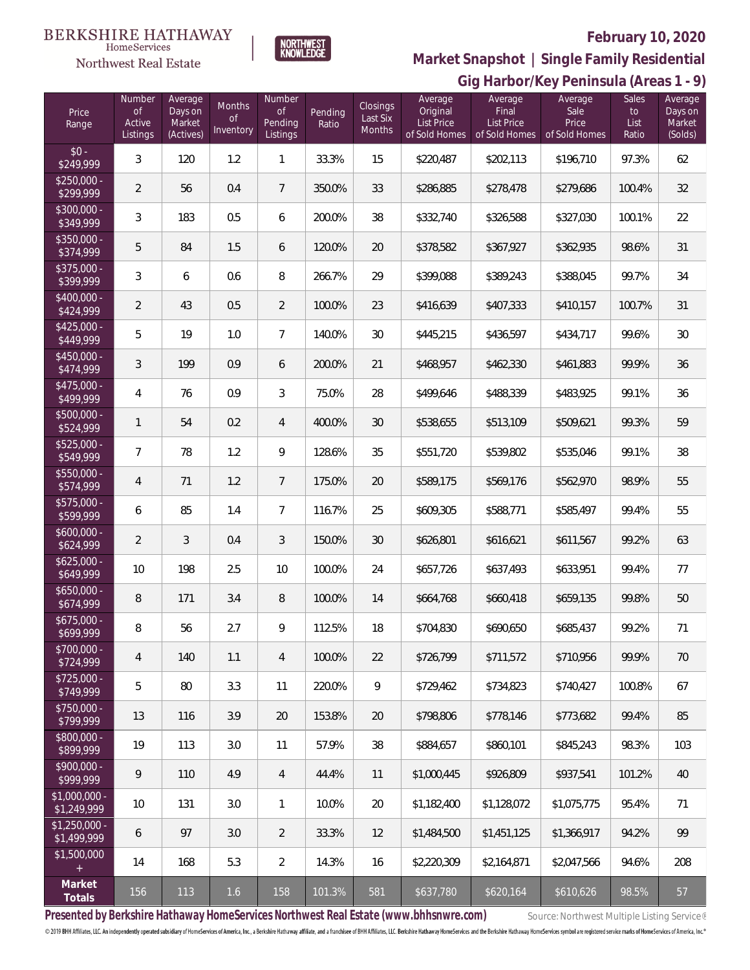## **BERKSHIRE HATHAWAY**



# NORTHWEST<br>KNOWLEDGE

## **February 10, 2020**

**Gig Harbor/Key Peninsula (Areas 1 - 9) Market Snapshot | Single Family Residential**

| Price<br>Range                | Number<br><b>of</b><br>Active<br>Listings | Average<br>Days on<br>Market<br>(Actives) | Months<br>$\circ f$<br>Inventory | Number<br>$\mathsf{of}$<br>Pending<br>Listings | Pending<br>Ratio | Closings<br>Last Six<br><b>Months</b> | Average<br>Original<br>List Price<br>of Sold Homes | Average<br>Final<br><b>List Price</b><br>of Sold Homes | Average<br>Sale<br>Price<br>of Sold Homes | Sales<br>to<br>List<br>Ratio | $\cdot$ ,<br>Average<br>Days on<br>Market<br>(Solds) |
|-------------------------------|-------------------------------------------|-------------------------------------------|----------------------------------|------------------------------------------------|------------------|---------------------------------------|----------------------------------------------------|--------------------------------------------------------|-------------------------------------------|------------------------------|------------------------------------------------------|
| $$0 -$<br>\$249,999           | 3                                         | 120                                       | 1.2                              | $\mathbf{1}$                                   | 33.3%            | 15                                    | \$220,487                                          | \$202,113                                              | \$196,710                                 | 97.3%                        | 62                                                   |
| $$250,000 -$<br>\$299,999     | $\overline{2}$                            | 56                                        | 0.4                              | $7\phantom{.0}$                                | 350.0%           | 33                                    | \$286,885                                          | \$278,478                                              | \$279,686                                 | 100.4%                       | 32                                                   |
| $$300,000 -$<br>\$349,999     | $\mathfrak{Z}$                            | 183                                       | 0.5                              | 6                                              | 200.0%           | 38                                    | \$332,740                                          | \$326,588                                              | \$327,030                                 | 100.1%                       | 22                                                   |
| $$350,000 -$<br>\$374,999     | 5                                         | 84                                        | 1.5                              | 6                                              | 120.0%           | $20\,$                                | \$378,582                                          | \$367,927                                              | \$362,935                                 | 98.6%                        | 31                                                   |
| $$375,000 -$<br>\$399,999     | $\mathfrak{Z}$                            | 6                                         | 0.6                              | 8                                              | 266.7%           | 29                                    | \$399,088                                          | \$389,243                                              | \$388,045                                 | 99.7%                        | 34                                                   |
| $$400,000 -$<br>\$424,999     | $\overline{2}$                            | 43                                        | 0.5                              | $\overline{2}$                                 | 100.0%           | 23                                    | \$416,639                                          | \$407,333                                              | \$410,157                                 | 100.7%                       | 31                                                   |
| $$425,000 -$<br>\$449,999     | 5                                         | 19                                        | 1.0                              | $\overline{7}$                                 | 140.0%           | 30                                    | \$445,215                                          | \$436,597                                              | \$434,717                                 | 99.6%                        | 30                                                   |
| $$450,000 -$<br>\$474,999     | $\sqrt{3}$                                | 199                                       | 0.9                              | 6                                              | 200.0%           | 21                                    | \$468,957                                          | \$462,330                                              | \$461,883                                 | 99.9%                        | 36                                                   |
| $$475,000 -$<br>\$499,999     | 4                                         | 76                                        | 0.9                              | $\sqrt{3}$                                     | 75.0%            | 28                                    | \$499,646                                          | \$488,339                                              | \$483,925                                 | 99.1%                        | 36                                                   |
| $$500,000 -$<br>\$524,999     | $\mathbf{1}$                              | 54                                        | 0.2                              | $\overline{4}$                                 | 400.0%           | 30                                    | \$538,655                                          | \$513,109                                              | \$509,621                                 | 99.3%                        | 59                                                   |
| $$525,000 -$<br>\$549,999     | 7                                         | 78                                        | 1.2                              | $\mathcal{G}$                                  | 128.6%           | 35                                    | \$551,720                                          | \$539,802                                              | \$535,046                                 | 99.1%                        | 38                                                   |
| $$550,000 -$<br>\$574,999     | $\overline{4}$                            | 71                                        | 1.2                              | $\overline{7}$                                 | 175.0%           | 20                                    | \$589,175                                          | \$569,176                                              | \$562,970                                 | 98.9%                        | 55                                                   |
| $$575,000 -$<br>\$599,999     | 6                                         | 85                                        | 1.4                              | $\overline{7}$                                 | 116.7%           | 25                                    | \$609,305                                          | \$588,771                                              | \$585,497                                 | 99.4%                        | 55                                                   |
| $$600,000 -$<br>\$624,999     | $\overline{2}$                            | 3                                         | 0.4                              | $\mathfrak{Z}$                                 | 150.0%           | 30                                    | \$626,801                                          | \$616,621                                              | \$611,567                                 | 99.2%                        | 63                                                   |
| $$625,000 -$<br>\$649,999     | 10                                        | 198                                       | 2.5                              | 10                                             | 100.0%           | 24                                    | \$657,726                                          | \$637,493                                              | \$633,951                                 | 99.4%                        | 77                                                   |
| $$650,000 -$<br>\$674,999     | $\, 8$                                    | 171                                       | 3.4                              | 8                                              | 100.0%           | 14                                    | \$664,768                                          | \$660,418                                              | \$659,135                                 | 99.8%                        | 50                                                   |
| $$675,000 -$<br>\$699,999     | 8                                         | 56                                        | 2.7                              | 9                                              | 112.5%           | 18                                    | \$704,830                                          | \$690,650                                              | \$685,437                                 | 99.2%                        | 71                                                   |
| $$700,000 -$<br>\$724,999     | $\overline{4}$                            | 140                                       | 1.1                              | $\overline{4}$                                 | 100.0%           | 22                                    | \$726,799                                          | \$711,572                                              | \$710,956                                 | 99.9%                        | 70                                                   |
| $$725,000 -$<br>\$749,999     | 5                                         | 80                                        | 3.3                              | 11                                             | 220.0%           | 9                                     | \$729,462                                          | \$734,823                                              | \$740,427                                 | 100.8%                       | 67                                                   |
| \$750,000 -<br>\$799,999      | 13                                        | 116                                       | 3.9                              | 20                                             | 153.8%           | 20                                    | \$798,806                                          | \$778,146                                              | \$773,682                                 | 99.4%                        | 85                                                   |
| $$800,000 -$<br>\$899,999     | 19                                        | 113                                       | 3.0                              | 11                                             | 57.9%            | $38\,$                                | \$884,657                                          | \$860,101                                              | \$845,243                                 | 98.3%                        | 103                                                  |
| $$900,000 -$<br>\$999,999     | 9                                         | 110                                       | 4.9                              | $\overline{4}$                                 | 44.4%            | 11                                    | \$1,000,445                                        | \$926,809                                              | \$937,541                                 | 101.2%                       | 40                                                   |
| \$1,000,000 -<br>\$1,249,999  | 10                                        | 131                                       | 3.0                              | $\mathbf{1}$                                   | 10.0%            | 20                                    | \$1,182,400                                        | \$1,128,072                                            | \$1,075,775                               | 95.4%                        | 71                                                   |
| $$1,250,000 -$<br>\$1,499,999 | 6                                         | 97                                        | 3.0                              | 2                                              | 33.3%            | 12                                    | \$1,484,500                                        | \$1,451,125                                            | \$1,366,917                               | 94.2%                        | 99                                                   |
| \$1,500,000<br>$\pm$          | 14                                        | 168                                       | 5.3                              | $\overline{2}$                                 | 14.3%            | 16                                    | \$2,220,309                                        | \$2,164,871                                            | \$2,047,566                               | 94.6%                        | 208                                                  |
| Market<br>Totals              | 156                                       | 113                                       | 1.6                              | 158                                            | 101.3%           | 581                                   | \$637,780                                          | \$620,164                                              | \$610,626                                 | 98.5%                        | 57                                                   |

Presented by Berkshire Hathaway HomeServices Northwest Real Estate (www.bhhsnwre.com) Source: Northwest Multiple Listing Service®

© 2019 BHH Affiliates, LLC. An independently operated subsidiary of HomeServices of America, Inc., a Berkshire Hathaway affiliate, and a franchisee of BHH Affiliates, LLC. Berkshire Hathaway HomeServices and the Berkshire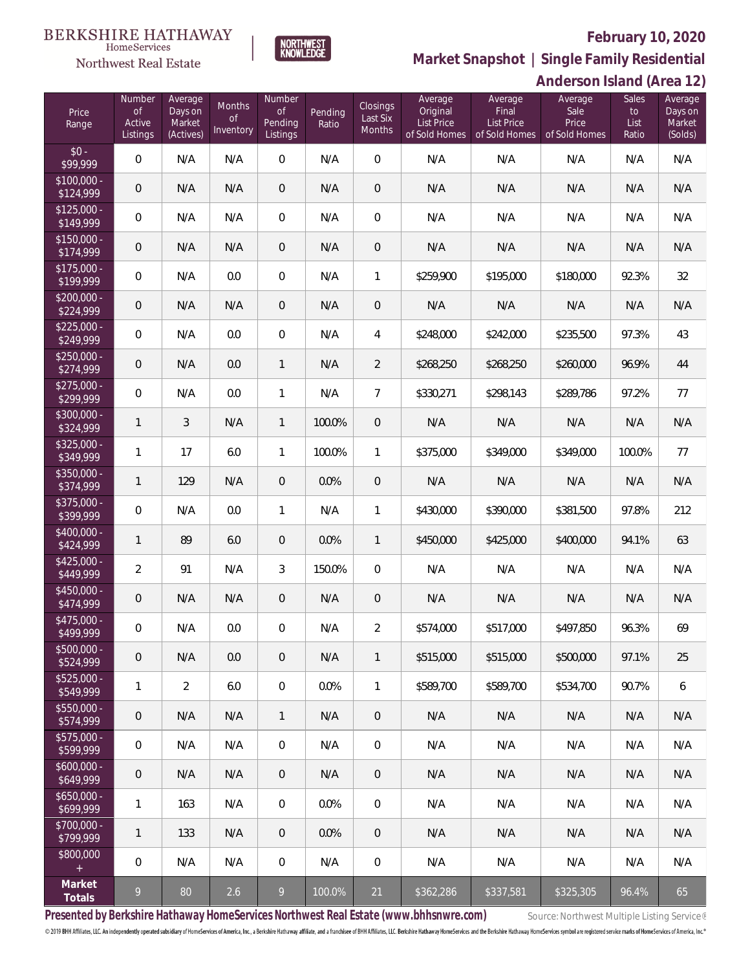### **February 10, 2020**

**Anderson Island (Area 12)**



**Market Snapshot | Single Family Residential**

#### $\label{lem:sevices} \textsc{Home} \textsc{Service} \textsc{s}$ Northwest Real Estate

**BERKSHIRE HATHAWAY** 

| Price<br>Range            | Number<br><b>of</b><br>Active<br>Listings | Average<br>Days on<br>Market<br>(Actives) | Months<br>$\mathsf{of}$<br>Inventory | Number<br><b>of</b><br>Pending<br>Listings | Pending<br>Ratio | Closings<br>Last Six<br>Months | Average<br>Original<br><b>List Price</b><br>of Sold Homes | Average<br>Final<br><b>List Price</b><br>of Sold Homes | Average<br>Sale<br>Price<br>of Sold Homes | Sales<br>to<br>List<br>Ratio | Average<br>Days on<br>Market<br>(Solds) |
|---------------------------|-------------------------------------------|-------------------------------------------|--------------------------------------|--------------------------------------------|------------------|--------------------------------|-----------------------------------------------------------|--------------------------------------------------------|-------------------------------------------|------------------------------|-----------------------------------------|
| $$0 -$<br>\$99,999        | 0                                         | N/A                                       | N/A                                  | $\overline{0}$                             | N/A              | $\overline{0}$                 | N/A                                                       | N/A                                                    | N/A                                       | N/A                          | N/A                                     |
| $$100,000 -$<br>\$124,999 | $\mathbf 0$                               | N/A                                       | N/A                                  | $\overline{0}$                             | N/A              | $\mathbf 0$                    | N/A                                                       | N/A                                                    | N/A                                       | N/A                          | N/A                                     |
| $$125,000 -$<br>\$149,999 | 0                                         | N/A                                       | N/A                                  | $\mathbf 0$                                | N/A              | $\overline{0}$                 | N/A                                                       | N/A                                                    | N/A                                       | N/A                          | N/A                                     |
| $$150,000 -$<br>\$174,999 | $\mathsf{O}\xspace$                       | N/A                                       | N/A                                  | $\overline{0}$                             | N/A              | $\mathbf 0$                    | N/A                                                       | N/A                                                    | N/A                                       | N/A                          | N/A                                     |
| $$175,000 -$<br>\$199,999 | 0                                         | N/A                                       | 0.0                                  | $\mathbf 0$                                | N/A              | 1                              | \$259,900                                                 | \$195,000                                              | \$180,000                                 | 92.3%                        | 32                                      |
| $$200,000 -$<br>\$224,999 | $\mathsf{O}\xspace$                       | N/A                                       | N/A                                  | $\mathbf 0$                                | N/A              | $\mathbf 0$                    | N/A                                                       | N/A                                                    | N/A                                       | N/A                          | N/A                                     |
| $$225,000 -$<br>\$249,999 | 0                                         | N/A                                       | 0.0                                  | $\mathbf 0$                                | N/A              | 4                              | \$248,000                                                 | \$242,000                                              | \$235,500                                 | 97.3%                        | 43                                      |
| $$250,000 -$<br>\$274,999 | $\mathbf 0$                               | N/A                                       | 0.0                                  | $\mathbf{1}$                               | N/A              | $\overline{2}$                 | \$268,250                                                 | \$268,250                                              | \$260,000                                 | 96.9%                        | 44                                      |
| $$275,000 -$<br>\$299,999 | 0                                         | N/A                                       | 0.0                                  | 1                                          | N/A              | $\overline{7}$                 | \$330,271                                                 | \$298,143                                              | \$289,786                                 | 97.2%                        | 77                                      |
| \$300,000 -<br>\$324,999  | 1                                         | 3                                         | N/A                                  | $\mathbf{1}$                               | 100.0%           | $\mathbf 0$                    | N/A                                                       | N/A                                                    | N/A                                       | N/A                          | N/A                                     |
| $$325,000 -$<br>\$349,999 | 1                                         | 17                                        | 6.0                                  | 1                                          | 100.0%           | 1                              | \$375,000                                                 | \$349,000                                              | \$349,000                                 | 100.0%                       | 77                                      |
| \$350,000 -<br>\$374,999  | $\mathbf{1}$                              | 129                                       | N/A                                  | $\mathbf 0$                                | 0.0%             | $\mathbf 0$                    | N/A                                                       | N/A                                                    | N/A                                       | N/A                          | N/A                                     |
| \$375,000 -<br>\$399,999  | $\mathbf 0$                               | N/A                                       | 0.0                                  | $\mathbf{1}$                               | N/A              | 1                              | \$430,000                                                 | \$390,000                                              | \$381,500                                 | 97.8%                        | 212                                     |
| $$400,000 -$<br>\$424,999 | $\mathbf{1}$                              | 89                                        | 6.0                                  | $\mathbf 0$                                | 0.0%             | 1                              | \$450,000                                                 | \$425,000                                              | \$400,000                                 | 94.1%                        | 63                                      |
| $$425,000 -$<br>\$449,999 | $\overline{2}$                            | 91                                        | N/A                                  | 3                                          | 150.0%           | $\mathbf 0$                    | N/A                                                       | N/A                                                    | N/A                                       | N/A                          | N/A                                     |
| \$450,000 -<br>\$474,999  | $\mathbf 0$                               | N/A                                       | N/A                                  | $\mathbf 0$                                | N/A              | $\mathbf 0$                    | N/A                                                       | N/A                                                    | N/A                                       | N/A                          | N/A                                     |
| \$475,000 -<br>\$499,999  | $\mathbf 0$                               | N/A                                       | 0.0                                  | $\boldsymbol{0}$                           | N/A              | $\overline{2}$                 | \$574,000                                                 | \$517,000                                              | \$497,850                                 | 96.3%                        | 69                                      |
| $$500,000 -$<br>\$524,999 | $\mathbf 0$                               | N/A                                       | 0.0                                  | $\overline{0}$                             | N/A              | 1                              | \$515,000                                                 | \$515,000                                              | \$500,000                                 | 97.1%                        | 25                                      |
| $$525,000 -$<br>\$549,999 | $\mathbf{1}$                              | $\overline{2}$                            | 6.0                                  | $\mathbf 0$                                | 0.0%             | 1                              | \$589,700                                                 | \$589,700                                              | \$534,700                                 | 90.7%                        | 6                                       |
| $$550,000 -$<br>\$574,999 | 0                                         | N/A                                       | N/A                                  | $\mathbf{1}$                               | N/A              | $\overline{0}$                 | N/A                                                       | N/A                                                    | N/A                                       | N/A                          | N/A                                     |
| $$575,000 -$<br>\$599,999 | 0                                         | N/A                                       | N/A                                  | $\mathbf 0$                                | N/A              | $\mathbf 0$                    | N/A                                                       | N/A                                                    | N/A                                       | N/A                          | N/A                                     |
| $$600,000 -$<br>\$649,999 | 0                                         | N/A                                       | N/A                                  | $\overline{0}$                             | N/A              | $\overline{0}$                 | N/A                                                       | N/A                                                    | N/A                                       | N/A                          | N/A                                     |
| $$650,000 -$<br>\$699,999 | 1                                         | 163                                       | N/A                                  | $\,0\,$                                    | 0.0%             | $\mathbf 0$                    | N/A                                                       | N/A                                                    | N/A                                       | N/A                          | N/A                                     |
| $$700,000 -$<br>\$799,999 | 1                                         | 133                                       | N/A                                  | $\overline{0}$                             | 0.0%             | $\overline{0}$                 | N/A                                                       | N/A                                                    | N/A                                       | N/A                          | N/A                                     |
| \$800,000<br>$+$          | 0                                         | N/A                                       | N/A                                  | $\,0\,$                                    | N/A              | $\mathbf 0$                    | N/A                                                       | N/A                                                    | N/A                                       | N/A                          | N/A                                     |
| Market<br>Totals          | 9                                         | 80                                        | 2.6                                  | 9                                          | 100.0%           | 21                             | $\sqrt{$362,286}$                                         | \$337,581                                              | \$325,305                                 | 96.4%                        | 65                                      |

Presented by Berkshire Hathaway HomeServices Northwest Real Estate (www.bhhsnwre.com) Source: Northwest Multiple Listing Service®

© 2019 BHH Affiliates, LLC. An independently operated subsidiary of HomeServices of America, Inc., a Berkshire Hathaway affiliate, and a franchisee of BHH Affiliates, LLC. Berkshire Hathaway HomeServices and the Berkshire